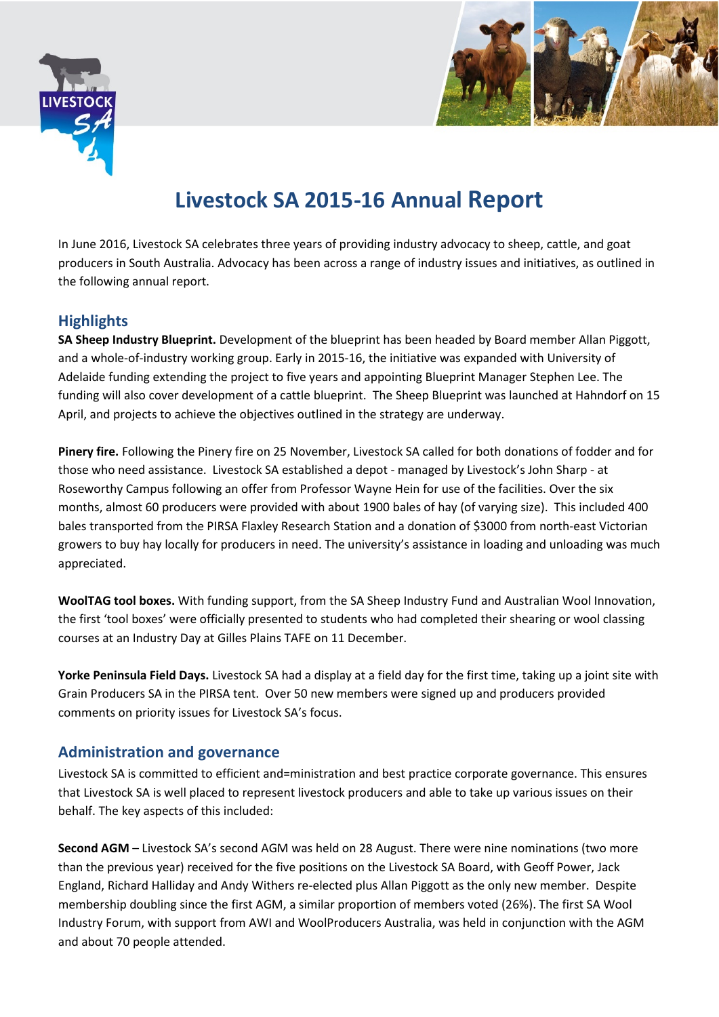



## **Livestock SA 2015-16 Annual Report**

In June 2016, Livestock SA celebrates three years of providing industry advocacy to sheep, cattle, and goat producers in South Australia. Advocacy has been across a range of industry issues and initiatives, as outlined in the following annual report.

## **Highlights**

**SA Sheep Industry Blueprint.** Development of the blueprint has been headed by Board member Allan Piggott, and a whole-of-industry working group. Early in 2015-16, the initiative was expanded with University of Adelaide funding extending the project to five years and appointing Blueprint Manager Stephen Lee. The funding will also cover development of a cattle blueprint. The Sheep Blueprint was launched at Hahndorf on 15 April, and projects to achieve the objectives outlined in the strategy are underway.

**Pinery fire.** Following the Pinery fire on 25 November, Livestock SA called for both donations of fodder and for those who need assistance. Livestock SA established a depot - managed by Livestock's John Sharp - at Roseworthy Campus following an offer from Professor Wayne Hein for use of the facilities. Over the six months, almost 60 producers were provided with about 1900 bales of hay (of varying size). This included 400 bales transported from the PIRSA Flaxley Research Station and a donation of \$3000 from north-east Victorian growers to buy hay locally for producers in need. The university's assistance in loading and unloading was much appreciated.

**WoolTAG tool boxes.** With funding support, from the SA Sheep Industry Fund and Australian Wool Innovation, the first 'tool boxes' were officially presented to students who had completed their shearing or wool classing courses at an Industry Day at Gilles Plains TAFE on 11 December.

**Yorke Peninsula Field Days.** Livestock SA had a display at a field day for the first time, taking up a joint site with Grain Producers SA in the PIRSA tent. Over 50 new members were signed up and producers provided comments on priority issues for Livestock SA's focus.

## **Administration and governance**

Livestock SA is committed to efficient and=ministration and best practice corporate governance. This ensures that Livestock SA is well placed to represent livestock producers and able to take up various issues on their behalf. The key aspects of this included:

**Second AGM** – Livestock SA's second AGM was held on 28 August. There were nine nominations (two more than the previous year) received for the five positions on the Livestock SA Board, with Geoff Power, Jack England, Richard Halliday and Andy Withers re-elected plus Allan Piggott as the only new member. Despite membership doubling since the first AGM, a similar proportion of members voted (26%). The first SA Wool Industry Forum, with support from AWI and WoolProducers Australia, was held in conjunction with the AGM and about 70 people attended.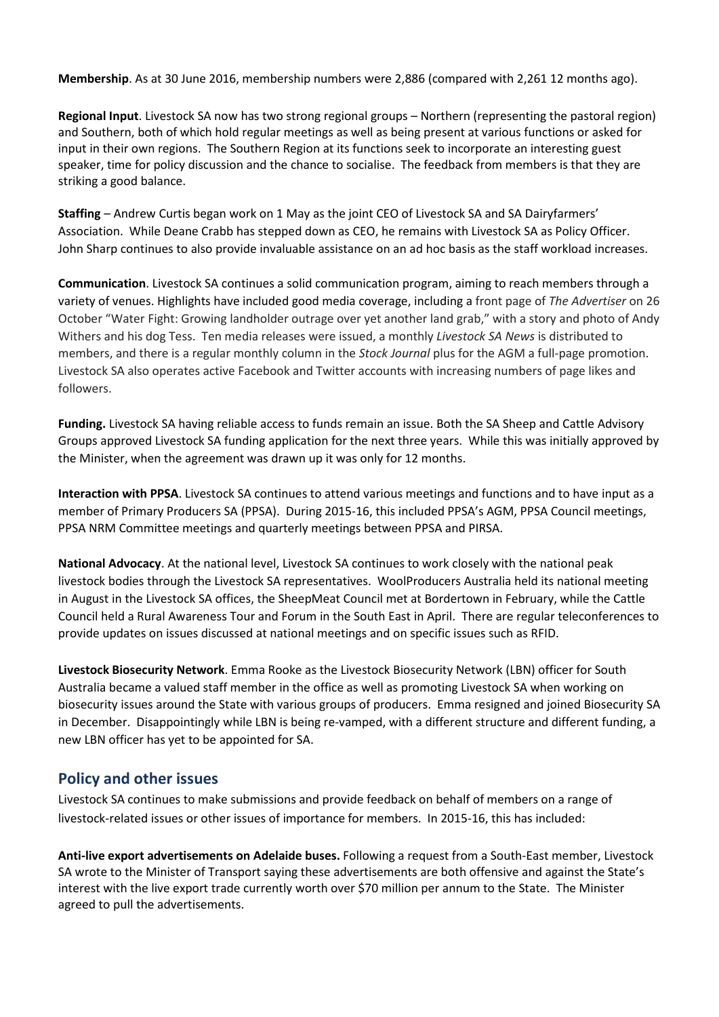**Membership**. As at 30 June 2016, membership numbers were 2,886 (compared with 2,261 12 months ago).

**Regional Input**. Livestock SA now has two strong regional groups – Northern (representing the pastoral region) and Southern, both of which hold regular meetings as well as being present at various functions or asked for input in their own regions. The Southern Region at its functions seek to incorporate an interesting guest speaker, time for policy discussion and the chance to socialise. The feedback from members is that they are striking a good balance.

**Staffing** – Andrew Curtis began work on 1 May as the joint CEO of Livestock SA and SA Dairyfarmers' Association. While Deane Crabb has stepped down as CEO, he remains with Livestock SA as Policy Officer. John Sharp continues to also provide invaluable assistance on an ad hoc basis as the staff workload increases.

**Communication**. Livestock SA continues a solid communication program, aiming to reach members through a variety of venues. Highlights have included good media coverage, including a front page of *The Advertiser* on 26 October "Water Fight: Growing landholder outrage over yet another land grab," with a story and photo of Andy Withers and his dog Tess. Ten media releases were issued, a monthly *Livestock SA News* is distributed to members, and there is a regular monthly column in the *Stock Journal* plus for the AGM a full-page promotion. Livestock SA also operates active Facebook and Twitter accounts with increasing numbers of page likes and followers.

**Funding.** Livestock SA having reliable access to funds remain an issue. Both the SA Sheep and Cattle Advisory Groups approved Livestock SA funding application for the next three years. While this was initially approved by the Minister, when the agreement was drawn up it was only for 12 months.

**Interaction with PPSA**. Livestock SA continues to attend various meetings and functions and to have input as a member of Primary Producers SA (PPSA). During 2015-16, this included PPSA's AGM, PPSA Council meetings, PPSA NRM Committee meetings and quarterly meetings between PPSA and PIRSA.

**National Advocacy**. At the national level, Livestock SA continues to work closely with the national peak livestock bodies through the Livestock SA representatives. WoolProducers Australia held its national meeting in August in the Livestock SA offices, the SheepMeat Council met at Bordertown in February, while the Cattle Council held a Rural Awareness Tour and Forum in the South East in April. There are regular teleconferences to provide updates on issues discussed at national meetings and on specific issues such as RFID.

**Livestock Biosecurity Network**. Emma Rooke as the Livestock Biosecurity Network (LBN) officer for South Australia became a valued staff member in the office as well as promoting Livestock SA when working on biosecurity issues around the State with various groups of producers. Emma resigned and joined Biosecurity SA in December. Disappointingly while LBN is being re-vamped, with a different structure and different funding, a new LBN officer has yet to be appointed for SA.

## **Policy and other issues**

Livestock SA continues to make submissions and provide feedback on behalf of members on a range of livestock-related issues or other issues of importance for members. In 2015-16, this has included:

**Anti-live export advertisements on Adelaide buses.** Following a request from a South-East member, Livestock SA wrote to the Minister of Transport saying these advertisements are both offensive and against the State's interest with the live export trade currently worth over \$70 million per annum to the State. The Minister agreed to pull the advertisements.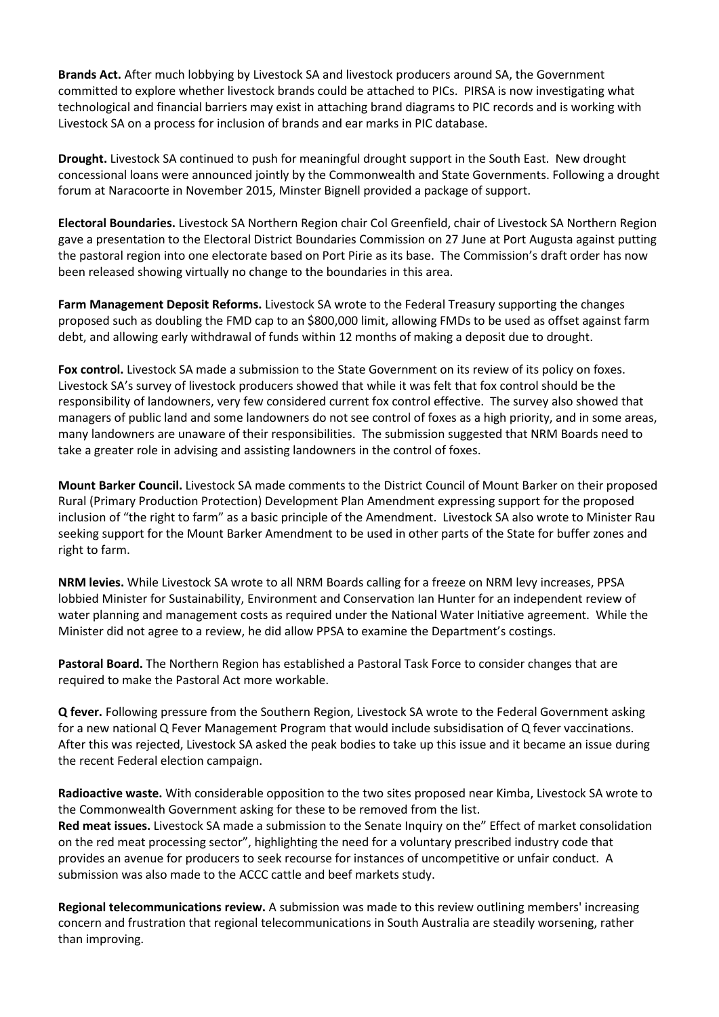**Brands Act.** After much lobbying by Livestock SA and livestock producers around SA, the Government committed to explore whether livestock brands could be attached to PICs. PIRSA is now investigating what technological and financial barriers may exist in attaching brand diagrams to PIC records and is working with Livestock SA on a process for inclusion of brands and ear marks in PIC database.

**Drought.** Livestock SA continued to push for meaningful drought support in the South East. New drought concessional loans were announced jointly by the Commonwealth and State Governments. Following a drought forum at Naracoorte in November 2015, Minster Bignell provided a package of support.

**Electoral Boundaries.** Livestock SA Northern Region chair Col Greenfield, chair of Livestock SA Northern Region gave a presentation to the Electoral District Boundaries Commission on 27 June at Port Augusta against putting the pastoral region into one electorate based on Port Pirie as its base. The Commission's draft order has now been released showing virtually no change to the boundaries in this area.

**Farm Management Deposit Reforms.** Livestock SA wrote to the Federal Treasury supporting the changes proposed such as doubling the FMD cap to an \$800,000 limit, allowing FMDs to be used as offset against farm debt, and allowing early withdrawal of funds within 12 months of making a deposit due to drought.

**Fox control.** Livestock SA made a submission to the State Government on its review of its policy on foxes. Livestock SA's survey of livestock producers showed that while it was felt that fox control should be the responsibility of landowners, very few considered current fox control effective. The survey also showed that managers of public land and some landowners do not see control of foxes as a high priority, and in some areas, many landowners are unaware of their responsibilities. The submission suggested that NRM Boards need to take a greater role in advising and assisting landowners in the control of foxes.

**Mount Barker Council.** Livestock SA made comments to the District Council of Mount Barker on their proposed Rural (Primary Production Protection) Development Plan Amendment expressing support for the proposed inclusion of "the right to farm" as a basic principle of the Amendment. Livestock SA also wrote to Minister Rau seeking support for the Mount Barker Amendment to be used in other parts of the State for buffer zones and right to farm.

**NRM levies.** While Livestock SA wrote to all NRM Boards calling for a freeze on NRM levy increases, PPSA lobbied Minister for Sustainability, Environment and Conservation Ian Hunter for an independent review of water planning and management costs as required under the National Water Initiative agreement. While the Minister did not agree to a review, he did allow PPSA to examine the Department's costings.

**Pastoral Board.** The Northern Region has established a Pastoral Task Force to consider changes that are required to make the Pastoral Act more workable.

**Q fever.** Following pressure from the Southern Region, Livestock SA wrote to the Federal Government asking for a new national Q Fever Management Program that would include subsidisation of Q fever vaccinations. After this was rejected, Livestock SA asked the peak bodies to take up this issue and it became an issue during the recent Federal election campaign.

**Radioactive waste.** With considerable opposition to the two sites proposed near Kimba, Livestock SA wrote to the Commonwealth Government asking for these to be removed from the list. **Red meat issues.** Livestock SA made a submission to the Senate Inquiry on the" Effect of market consolidation on the red meat processing sector", highlighting the need for a voluntary prescribed industry code that provides an avenue for producers to seek recourse for instances of uncompetitive or unfair conduct. A submission was also made to the ACCC cattle and beef markets study.

**Regional telecommunications review.** A submission was made to this review outlining members' increasing concern and frustration that regional telecommunications in South Australia are steadily worsening, rather than improving.